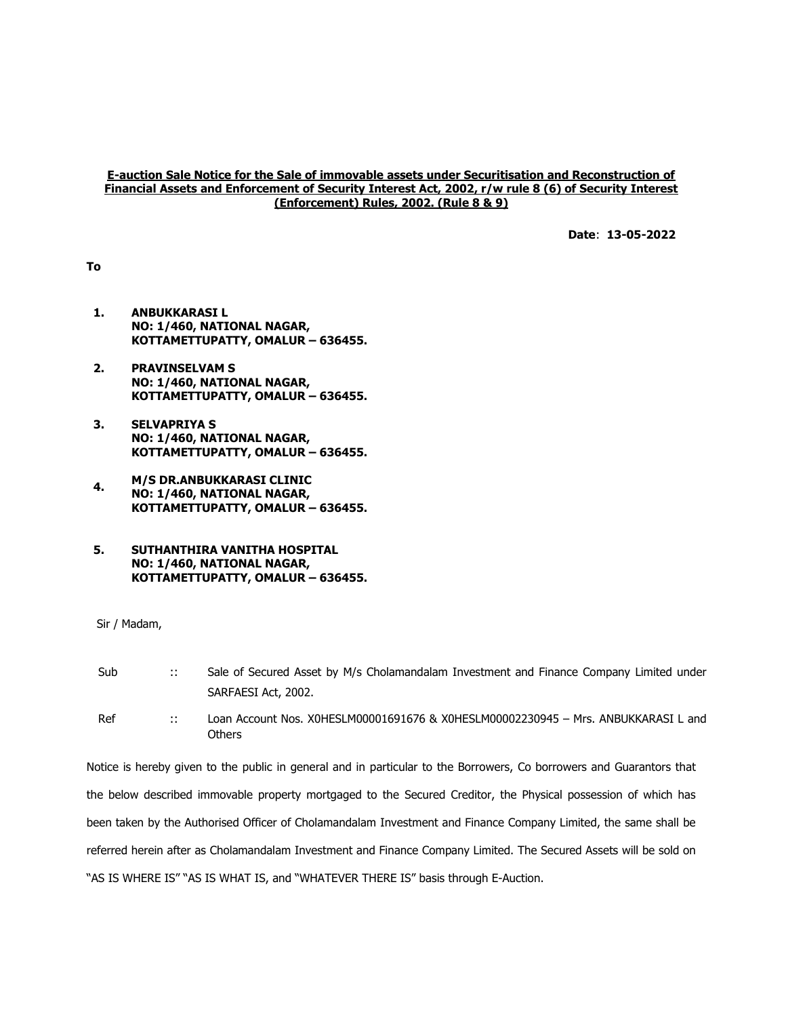### E-auction Sale Notice for the Sale of immovable assets under Securitisation and Reconstruction of Financial Assets and Enforcement of Security Interest Act, 2002, r/w rule 8 (6) of Security Interest (Enforcement) Rules, 2002. (Rule 8 & 9)

Date: 13-05-2022

To

- 1. ANBUKKARASI L NO: 1/460, NATIONAL NAGAR, KOTTAMETTUPATTY, OMALUR – 636455.
- 2. PRAVINSELVAM S NO: 1/460, NATIONAL NAGAR, KOTTAMETTUPATTY, OMALUR – 636455.
- 3. SELVAPRIYA S NO: 1/460, NATIONAL NAGAR, KOTTAMETTUPATTY, OMALUR – 636455.
- 4. M/S DR.ANBUKKARASI CLINIC NO: 1/460, NATIONAL NAGAR, KOTTAMETTUPATTY, OMALUR – 636455.
- 5. SUTHANTHIRA VANITHA HOSPITAL NO: 1/460, NATIONAL NAGAR, KOTTAMETTUPATTY, OMALUR – 636455.

Sir / Madam,

| Sub | $\mathbb{R}^n$ | Sale of Secured Asset by M/s Cholamandalam Investment and Finance Company Limited under      |
|-----|----------------|----------------------------------------------------------------------------------------------|
|     |                | SARFAESI Act, 2002.                                                                          |
| Ref | $\cdots$       | Loan Account Nos. X0HESLM00001691676 & X0HESLM00002230945 - Mrs. ANBUKKARASI L and<br>Others |

Notice is hereby given to the public in general and in particular to the Borrowers, Co borrowers and Guarantors that the below described immovable property mortgaged to the Secured Creditor, the Physical possession of which has been taken by the Authorised Officer of Cholamandalam Investment and Finance Company Limited, the same shall be referred herein after as Cholamandalam Investment and Finance Company Limited. The Secured Assets will be sold on "AS IS WHERE IS" "AS IS WHAT IS, and "WHATEVER THERE IS" basis through E-Auction.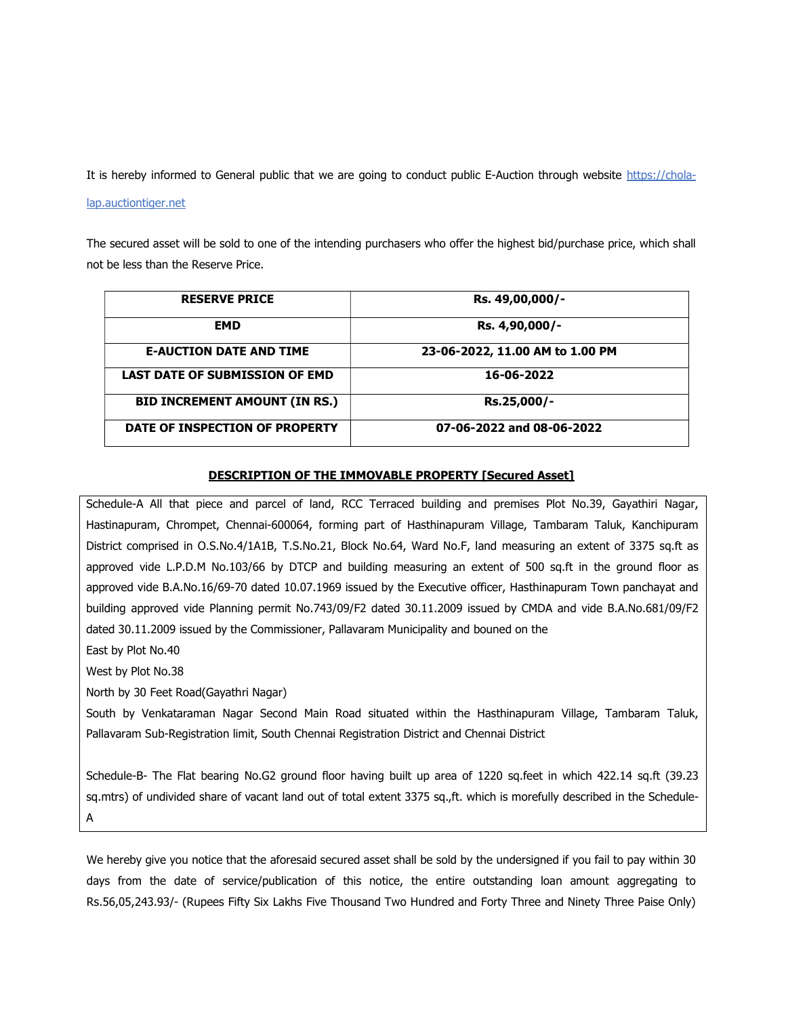It is hereby informed to General public that we are going to conduct public E-Auction through website https://chola-

#### lap.auctiontiger.net

The secured asset will be sold to one of the intending purchasers who offer the highest bid/purchase price, which shall not be less than the Reserve Price.

| <b>RESERVE PRICE</b>                  | Rs. 49,00,000/-                 |
|---------------------------------------|---------------------------------|
| <b>EMD</b>                            | Rs. 4,90,000/-                  |
| <b>E-AUCTION DATE AND TIME</b>        | 23-06-2022, 11.00 AM to 1.00 PM |
| <b>LAST DATE OF SUBMISSION OF EMD</b> | 16-06-2022                      |
| <b>BID INCREMENT AMOUNT (IN RS.)</b>  | Rs.25,000/-                     |
| DATE OF INSPECTION OF PROPERTY        | 07-06-2022 and 08-06-2022       |

#### DESCRIPTION OF THE IMMOVABLE PROPERTY [Secured Asset]

Schedule-A All that piece and parcel of land, RCC Terraced building and premises Plot No.39, Gayathiri Nagar, Hastinapuram, Chrompet, Chennai-600064, forming part of Hasthinapuram Village, Tambaram Taluk, Kanchipuram District comprised in O.S.No.4/1A1B, T.S.No.21, Block No.64, Ward No.F, land measuring an extent of 3375 sq.ft as approved vide L.P.D.M No.103/66 by DTCP and building measuring an extent of 500 sq.ft in the ground floor as approved vide B.A.No.16/69-70 dated 10.07.1969 issued by the Executive officer, Hasthinapuram Town panchayat and building approved vide Planning permit No.743/09/F2 dated 30.11.2009 issued by CMDA and vide B.A.No.681/09/F2 dated 30.11.2009 issued by the Commissioner, Pallavaram Municipality and bouned on the

East by Plot No.40

West by Plot No.38

North by 30 Feet Road(Gayathri Nagar)

South by Venkataraman Nagar Second Main Road situated within the Hasthinapuram Village, Tambaram Taluk, Pallavaram Sub-Registration limit, South Chennai Registration District and Chennai District

Schedule-B- The Flat bearing No.G2 ground floor having built up area of 1220 sq.feet in which 422.14 sq.ft (39.23 sq.mtrs) of undivided share of vacant land out of total extent 3375 sq.,ft. which is morefully described in the Schedule-A

We hereby give you notice that the aforesaid secured asset shall be sold by the undersigned if you fail to pay within 30 days from the date of service/publication of this notice, the entire outstanding loan amount aggregating to Rs.56,05,243.93/- (Rupees Fifty Six Lakhs Five Thousand Two Hundred and Forty Three and Ninety Three Paise Only)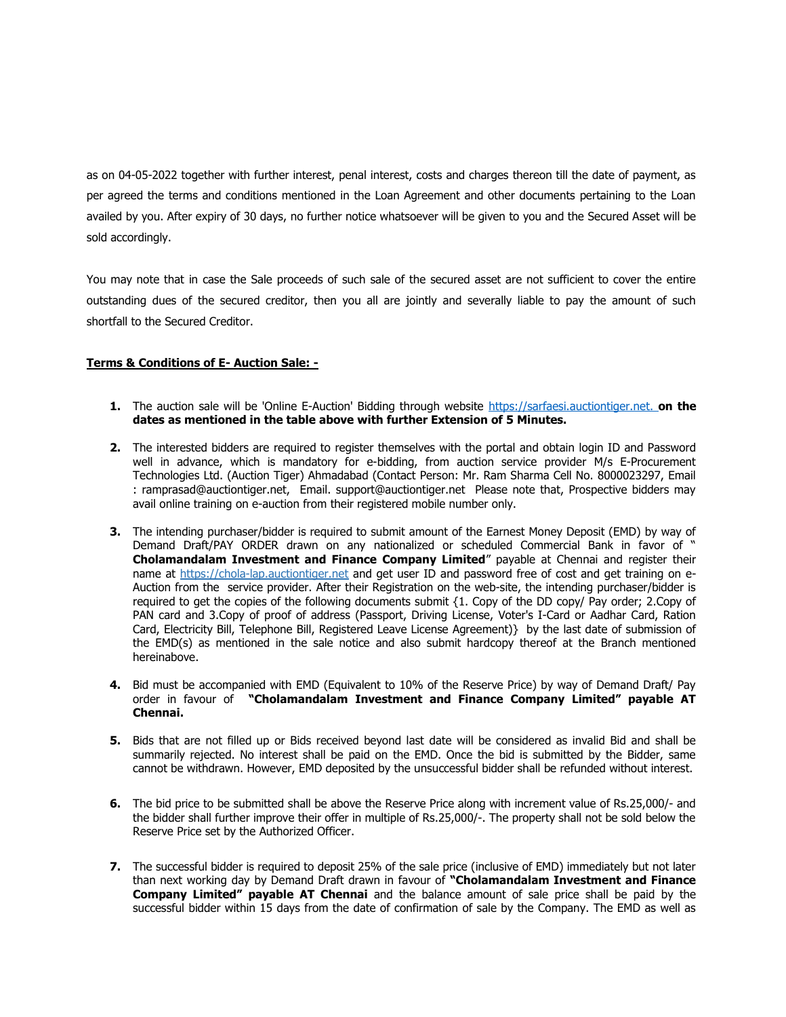as on 04-05-2022 together with further interest, penal interest, costs and charges thereon till the date of payment, as per agreed the terms and conditions mentioned in the Loan Agreement and other documents pertaining to the Loan availed by you. After expiry of 30 days, no further notice whatsoever will be given to you and the Secured Asset will be sold accordingly.

You may note that in case the Sale proceeds of such sale of the secured asset are not sufficient to cover the entire outstanding dues of the secured creditor, then you all are jointly and severally liable to pay the amount of such shortfall to the Secured Creditor.

# Terms & Conditions of E- Auction Sale: -

- 1. The auction sale will be 'Online E-Auction' Bidding through website https://sarfaesi.auctiontiger.net. on the dates as mentioned in the table above with further Extension of 5 Minutes.
- 2. The interested bidders are required to register themselves with the portal and obtain login ID and Password well in advance, which is mandatory for e-bidding, from auction service provider M/s E-Procurement Technologies Ltd. (Auction Tiger) Ahmadabad (Contact Person: Mr. Ram Sharma Cell No. 8000023297, Email : ramprasad@auctiontiger.net, Email. support@auctiontiger.net Please note that, Prospective bidders may avail online training on e-auction from their registered mobile number only.
- **3.** The intending purchaser/bidder is required to submit amount of the Earnest Money Deposit (EMD) by way of Demand Draft/PAY ORDER drawn on any nationalized or scheduled Commercial Bank in favor of " Cholamandalam Investment and Finance Company Limited" payable at Chennai and register their name at https://chola-lap.auctiontiger.net and get user ID and password free of cost and get training on e-Auction from the service provider. After their Registration on the web-site, the intending purchaser/bidder is required to get the copies of the following documents submit {1. Copy of the DD copy/ Pay order; 2.Copy of PAN card and 3.Copy of proof of address (Passport, Driving License, Voter's I-Card or Aadhar Card, Ration Card, Electricity Bill, Telephone Bill, Registered Leave License Agreement)} by the last date of submission of the EMD(s) as mentioned in the sale notice and also submit hardcopy thereof at the Branch mentioned hereinabove.
- 4. Bid must be accompanied with EMD (Equivalent to 10% of the Reserve Price) by way of Demand Draft/ Pay order in favour of "Cholamandalam Investment and Finance Company Limited" payable AT Chennai.
- 5. Bids that are not filled up or Bids received beyond last date will be considered as invalid Bid and shall be summarily rejected. No interest shall be paid on the EMD. Once the bid is submitted by the Bidder, same cannot be withdrawn. However, EMD deposited by the unsuccessful bidder shall be refunded without interest.
- 6. The bid price to be submitted shall be above the Reserve Price along with increment value of Rs.25,000/- and the bidder shall further improve their offer in multiple of Rs.25,000/-. The property shall not be sold below the Reserve Price set by the Authorized Officer.
- 7. The successful bidder is required to deposit 25% of the sale price (inclusive of EMD) immediately but not later than next working day by Demand Draft drawn in favour of "Cholamandalam Investment and Finance Company Limited" payable AT Chennai and the balance amount of sale price shall be paid by the successful bidder within 15 days from the date of confirmation of sale by the Company. The EMD as well as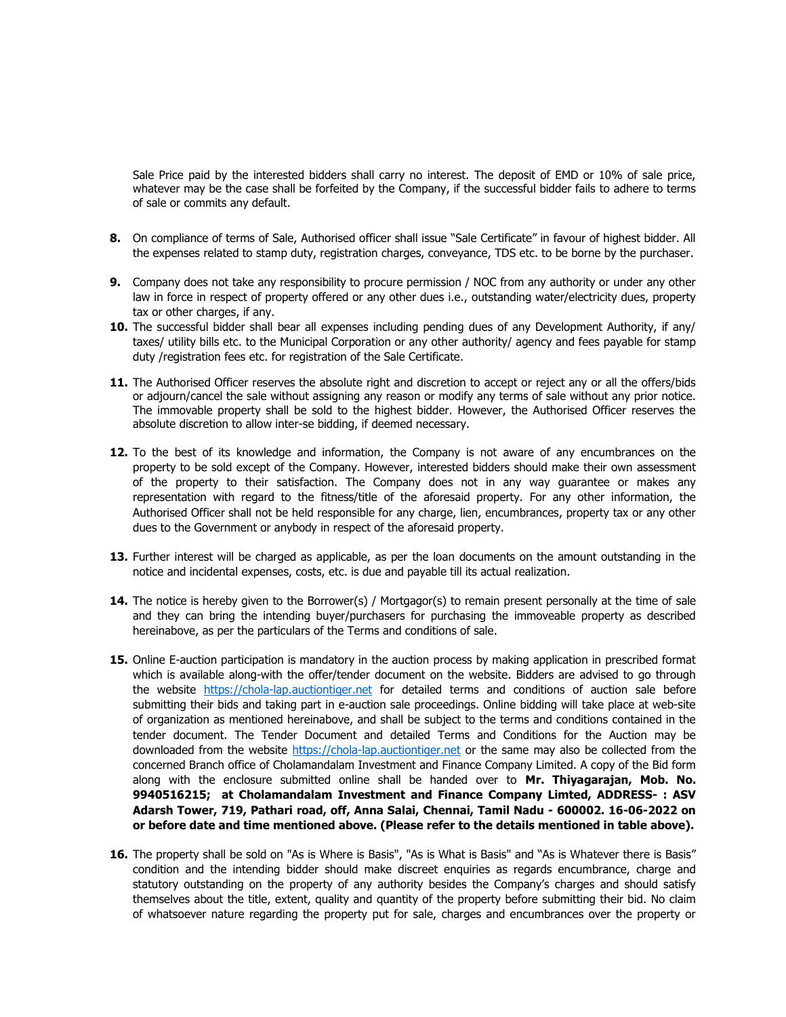Sale Price paid by the interested bidders shall carry no interest. The deposit of EMD or 10% of sale price, whatever may be the case shall be forfeited by the Company, if the successful bidder fails to adhere to terms of sale or commits any default.

- 8. On compliance of terms of Sale, Authorised officer shall issue "Sale Certificate" in favour of highest bidder. All the expenses related to stamp duty, registration charges, conveyance, TDS etc. to be borne by the purchaser.
- 9. Company does not take any responsibility to procure permission / NOC from any authority or under any other law in force in respect of property offered or any other dues i.e., outstanding water/electricity dues, property tax or other charges, if any.
- 10. The successful bidder shall bear all expenses including pending dues of any Development Authority, if any/ taxes/ utility bills etc. to the Municipal Corporation or any other authority/ agency and fees payable for stamp duty /registration fees etc. for registration of the Sale Certificate.
- 11. The Authorised Officer reserves the absolute right and discretion to accept or reject any or all the offers/bids or adjourn/cancel the sale without assigning any reason or modify any terms of sale without any prior notice. The immovable property shall be sold to the highest bidder. However, the Authorised Officer reserves the absolute discretion to allow inter-se bidding, if deemed necessary.
- 12. To the best of its knowledge and information, the Company is not aware of any encumbrances on the property to be sold except of the Company. However, interested bidders should make their own assessment of the property to their satisfaction. The Company does not in any way guarantee or makes any representation with regard to the fitness/title of the aforesaid property. For any other information, the Authorised Officer shall not be held responsible for any charge, lien, encumbrances, property tax or any other dues to the Government or anybody in respect of the aforesaid property.
- 13. Further interest will be charged as applicable, as per the loan documents on the amount outstanding in the notice and incidental expenses, costs, etc. is due and payable till its actual realization.
- 14. The notice is hereby given to the Borrower(s) / Mortgagor(s) to remain present personally at the time of sale and they can bring the intending buyer/purchasers for purchasing the immoveable property as described hereinabove, as per the particulars of the Terms and conditions of sale.
- 15. Online E-auction participation is mandatory in the auction process by making application in prescribed format which is available along-with the offer/tender document on the website. Bidders are advised to go through the website https://chola-lap.auctiontiger.net for detailed terms and conditions of auction sale before submitting their bids and taking part in e-auction sale proceedings. Online bidding will take place at web-site of organization as mentioned hereinabove, and shall be subject to the terms and conditions contained in the tender document. The Tender Document and detailed Terms and Conditions for the Auction may be downloaded from the website https://chola-lap.auctiontiger.net or the same may also be collected from the concerned Branch office of Cholamandalam Investment and Finance Company Limited. A copy of the Bid form along with the enclosure submitted online shall be handed over to Mr. Thiyagarajan, Mob. No. 9940516215; at Cholamandalam Investment and Finance Company Limted, ADDRESS- : ASV Adarsh Tower, 719, Pathari road, off, Anna Salai, Chennai, Tamil Nadu - 600002. 16-06-2022 on or before date and time mentioned above. (Please refer to the details mentioned in table above).
- 16. The property shall be sold on "As is Where is Basis", "As is What is Basis" and "As is Whatever there is Basis" condition and the intending bidder should make discreet enquiries as regards encumbrance, charge and statutory outstanding on the property of any authority besides the Company's charges and should satisfy themselves about the title, extent, quality and quantity of the property before submitting their bid. No claim of whatsoever nature regarding the property put for sale, charges and encumbrances over the property or